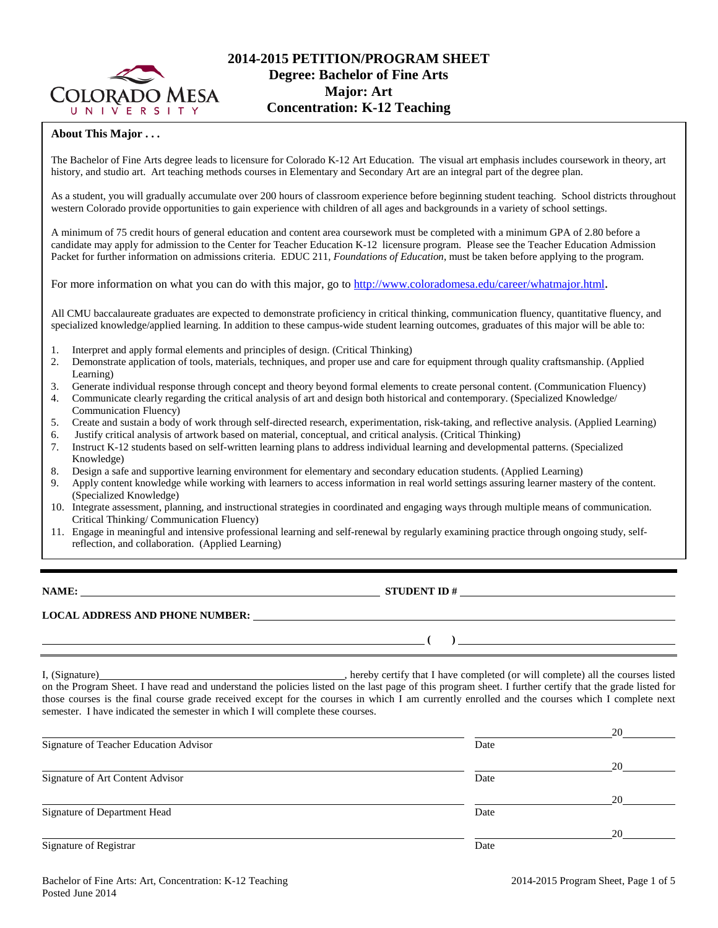

## **About This Major . . .**

The Bachelor of Fine Arts degree leads to licensure for Colorado K-12 Art Education. The visual art emphasis includes coursework in theory, art history, and studio art. Art teaching methods courses in Elementary and Secondary Art are an integral part of the degree plan.

As a student, you will gradually accumulate over 200 hours of classroom experience before beginning student teaching. School districts throughout western Colorado provide opportunities to gain experience with children of all ages and backgrounds in a variety of school settings.

A minimum of 75 credit hours of general education and content area coursework must be completed with a minimum GPA of 2.80 before a candidate may apply for admission to the Center for Teacher Education K-12 licensure program. Please see the Teacher Education Admission Packet for further information on admissions criteria. EDUC 211, *Foundations of Education*, must be taken before applying to the program.

For more information on what you can do with this major, go to [http://www.coloradomesa.edu/career/whatmajor.html.](http://www.coloradomesa.edu/career/whatmajor.html)

All CMU baccalaureate graduates are expected to demonstrate proficiency in critical thinking, communication fluency, quantitative fluency, and specialized knowledge/applied learning. In addition to these campus-wide student learning outcomes, graduates of this major will be able to:

- 1. Interpret and apply formal elements and principles of design. (Critical Thinking)
- 2. Demonstrate application of tools, materials, techniques, and proper use and care for equipment through quality craftsmanship. (Applied Learning)
- 3. Generate individual response through concept and theory beyond formal elements to create personal content. (Communication Fluency)
- 4. Communicate clearly regarding the critical analysis of art and design both historical and contemporary. (Specialized Knowledge/ Communication Fluency)
- 5. Create and sustain a body of work through self-directed research, experimentation, risk-taking, and reflective analysis. (Applied Learning) 6. Justify critical analysis of artwork based on material, conceptual, and critical analysis. (Critical Thinking)
- 7. Instruct K-12 students based on self-written learning plans to address individual learning and developmental patterns. (Specialized Knowledge)
- 8. Design a safe and supportive learning environment for elementary and secondary education students. (Applied Learning)
- 9. Apply content knowledge while working with learners to access information in real world settings assuring learner mastery of the content. (Specialized Knowledge)
- 10. Integrate assessment, planning, and instructional strategies in coordinated and engaging ways through multiple means of communication. Critical Thinking/ Communication Fluency)
- 11. Engage in meaningful and intensive professional learning and self-renewal by regularly examining practice through ongoing study, selfreflection, and collaboration. (Applied Learning)

**NAME: STUDENT ID # STUDENT ID # STUDENT ID # STUDENT ID # STUDENT ID # STUDENT ID # STUDENT ID # STUDENT ID # STUDENT ID # STUDENT ID # STUDENT ID # STUDENT ID # STUDENT ID # STUDENT ID # STU** 

**( )** 

# **LOCAL ADDRESS AND PHONE NUMBER:**

I, (Signature) **Source 2020** (Signature) **, hereby certify that I have completed** (or will complete) all the courses listed on the Program Sheet. I have read and understand the policies listed on the last page of this program sheet. I further certify that the grade listed for those courses is the final course grade received except for the courses in which I am currently enrolled and the courses which I complete next semester. I have indicated the semester in which I will complete these courses.

|                                        |      | 20 |
|----------------------------------------|------|----|
| Signature of Teacher Education Advisor | Date |    |
|                                        |      | 20 |
| Signature of Art Content Advisor       | Date |    |
|                                        |      | 20 |
| Signature of Department Head           | Date |    |
|                                        |      | 20 |
| Signature of Registrar                 | Date |    |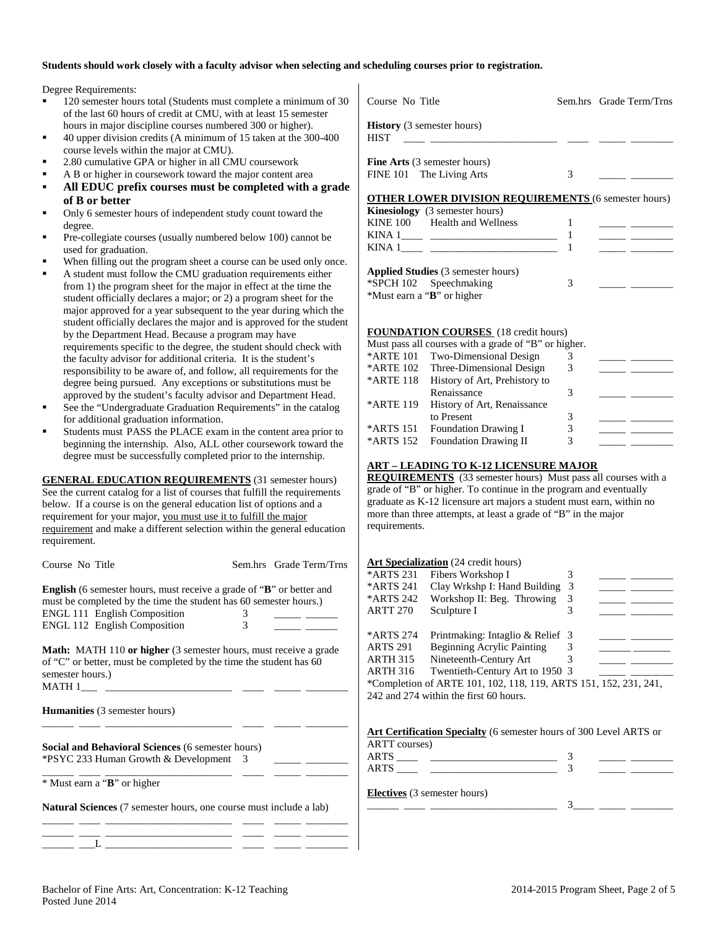#### **Students should work closely with a faculty advisor when selecting and scheduling courses prior to registration.**

Degree Requirements:

- 120 semester hours total (Students must complete a minimum of 30 of the last 60 hours of credit at CMU, with at least 15 semester hours in major discipline courses numbered 300 or higher).
- 40 upper division credits (A minimum of 15 taken at the 300-400 course levels within the major at CMU).
- 2.80 cumulative GPA or higher in all CMU coursework
- A B or higher in coursework toward the major content area
- **All EDUC prefix courses must be completed with a grade of B or better**
- Only 6 semester hours of independent study count toward the degree.
- Pre-collegiate courses (usually numbered below 100) cannot be used for graduation.
- When filling out the program sheet a course can be used only once.
- A student must follow the CMU graduation requirements either from 1) the program sheet for the major in effect at the time the student officially declares a major; or 2) a program sheet for the major approved for a year subsequent to the year during which the student officially declares the major and is approved for the student by the Department Head. Because a program may have requirements specific to the degree, the student should check with the faculty advisor for additional criteria. It is the student's responsibility to be aware of, and follow, all requirements for the degree being pursued. Any exceptions or substitutions must be approved by the student's faculty advisor and Department Head.
- See the "Undergraduate Graduation Requirements" in the catalog for additional graduation information.
- Students must PASS the PLACE exam in the content area prior to beginning the internship. Also, ALL other coursework toward the degree must be successfully completed prior to the internship.

**GENERAL EDUCATION REQUIREMENTS** (31 semester hours) See the current catalog for a list of courses that fulfill the requirements below. If a course is on the general education list of options and a requirement for your major, you must use it to fulfill the major requirement and make a different selection within the general education requirement.

| Course No Title                                                             | Sem.hrs Grade Term/Trns |                 | Art Specialization (24 credit hours)                                                                                                                                                                                           |   |  |
|-----------------------------------------------------------------------------|-------------------------|-----------------|--------------------------------------------------------------------------------------------------------------------------------------------------------------------------------------------------------------------------------|---|--|
|                                                                             |                         | *ARTS 231       | Fibers Workshop I                                                                                                                                                                                                              |   |  |
| <b>English</b> (6 semester hours, must receive a grade of "B" or better and |                         | *ARTS 241       | Clay Wrkshp I: Hand Building 3                                                                                                                                                                                                 |   |  |
| must be completed by the time the student has 60 semester hours.)           |                         | *ARTS 242       | Workshop II: Beg. Throwing 3                                                                                                                                                                                                   |   |  |
| ENGL 111 English Composition                                                |                         | ARTT 270        | Sculpture I                                                                                                                                                                                                                    | 3 |  |
| <b>ENGL 112 English Composition</b>                                         | 3                       |                 |                                                                                                                                                                                                                                |   |  |
|                                                                             |                         | *ARTS 274       | Printmaking: Intaglio & Relief 3                                                                                                                                                                                               |   |  |
| <b>Math:</b> MATH 110 or higher (3 semester hours, must receive a grade     |                         | ARTS 291        | <b>Beginning Acrylic Painting</b>                                                                                                                                                                                              | 3 |  |
| of "C" or better, must be completed by the time the student has 60          |                         | ARTH 315        | Nineteenth-Century Art                                                                                                                                                                                                         | 3 |  |
| semester hours.)                                                            |                         | <b>ARTH 316</b> | Twentieth-Century Art to 1950 3                                                                                                                                                                                                |   |  |
| MATH 1                                                                      |                         |                 | *Completion of ARTE 101, 102, 118, 119, ARTS 151, 152, 231, 241,                                                                                                                                                               |   |  |
|                                                                             |                         |                 | 242 and 274 within the first 60 hours.                                                                                                                                                                                         |   |  |
| <b>Humanities</b> (3 semester hours)                                        |                         |                 |                                                                                                                                                                                                                                |   |  |
|                                                                             |                         |                 | Art Certification Specialty (6 semester hours of 300 Level ARTS or                                                                                                                                                             |   |  |
|                                                                             |                         | ARTT courses)   |                                                                                                                                                                                                                                |   |  |
| <b>Social and Behavioral Sciences (6 semester hours)</b>                    |                         |                 |                                                                                                                                                                                                                                |   |  |
| <i>*PSYC 233 Human Growth &amp; Development</i> 3                           |                         |                 | $ARTS$ and $I$ and $I$ and $I$ and $I$ and $I$ and $I$ and $I$ and $I$ and $I$ and $I$ and $I$ and $I$ and $I$ and $I$ and $I$ and $I$ and $I$ and $I$ and $I$ and $I$ and $I$ and $I$ and $I$ and $I$ and $I$ and $I$ and $I$ |   |  |
|                                                                             |                         |                 |                                                                                                                                                                                                                                |   |  |
| * Must earn a "B" or higher                                                 |                         |                 | <b>Electives</b> (3 semester hours)                                                                                                                                                                                            |   |  |
|                                                                             |                         |                 |                                                                                                                                                                                                                                |   |  |
| <b>Natural Sciences</b> (7 semester hours, one course must include a lab)   |                         |                 |                                                                                                                                                                                                                                |   |  |
|                                                                             |                         |                 |                                                                                                                                                                                                                                |   |  |

| Course No Title                                                                                      |   | Sem.hrs Grade Term/Trns |
|------------------------------------------------------------------------------------------------------|---|-------------------------|
| <b>History</b> (3 semester hours)<br><b>HIST</b>                                                     |   |                         |
| <b>Fine Arts</b> (3 semester hours)<br>FINE 101 The Living Arts                                      | 3 |                         |
| <b>OTHER LOWER DIVISION REQUIREMENTS (6 semester hours)</b><br><b>Kinesiology</b> (3 semester hours) |   |                         |

| <b>Kinesiology</b> (3 semester hours)     |  |  |
|-------------------------------------------|--|--|
| KINE 100 Health and Wellness              |  |  |
| KINA 1                                    |  |  |
| KINA 1                                    |  |  |
| <b>Applied Studies</b> (3 semester hours) |  |  |

| Applied Studies (3 semester nours) |  |
|------------------------------------|--|
| *SPCH 102 Speechmaking             |  |
| *Must earn a "B" or higher         |  |

#### **FOUNDATION COURSES** (18 credit hours)

| Must pass all courses with a grade of "B" or higher. |                                    |   |  |  |  |  |
|------------------------------------------------------|------------------------------------|---|--|--|--|--|
| *ARTE 101                                            | Two-Dimensional Design             |   |  |  |  |  |
|                                                      | *ARTE 102 Three-Dimensional Design | 3 |  |  |  |  |
| *ARTE 118                                            | History of Art, Prehistory to      |   |  |  |  |  |
|                                                      | Renaissance                        | 3 |  |  |  |  |
| *ARTE 119                                            | History of Art, Renaissance        |   |  |  |  |  |
|                                                      | to Present                         | 3 |  |  |  |  |
| *ARTS 151                                            | <b>Foundation Drawing I</b>        | 3 |  |  |  |  |
| *ARTS 152                                            | <b>Foundation Drawing II</b>       | 3 |  |  |  |  |
|                                                      |                                    |   |  |  |  |  |

#### **ART – LEADING TO K-12 LICENSURE MAJOR**

**REQUIREMENTS** (33 semester hours) Must pass all courses with a grade of "B" or higher. To continue in the program and eventually graduate as K-12 licensure art majors a student must earn, within no more than three attempts, at least a grade of "B" in the major requirements.

#### **ization** (24 credit hours)

| *ARTS 231       | Fibers Workshop I                                                |   |  |
|-----------------|------------------------------------------------------------------|---|--|
| *ARTS 241       | Clay Wrkshp I: Hand Building                                     | 3 |  |
| *ARTS 242       | Workshop II: Beg. Throwing                                       | 3 |  |
| <b>ARTT 270</b> | Sculpture I                                                      | 3 |  |
|                 |                                                                  |   |  |
| *ARTS 274       | Printmaking: Intaglio & Relief 3                                 |   |  |
| <b>ARTS 291</b> | <b>Beginning Acrylic Painting</b>                                | 3 |  |
| <b>ARTH 315</b> | Nineteenth-Century Art                                           |   |  |
| <b>ARTH 316</b> | Twentieth-Century Art to 1950 3                                  |   |  |
|                 | *Completion of ARTE 101, 102, 118, 119, ARTS 151, 152, 231, 241, |   |  |
|                 | 242 and 274 within the first 60 hours.                           |   |  |
|                 |                                                                  |   |  |
|                 |                                                                  |   |  |

| Art Certification Specialty (6 semester hours of 300 Level ARTS or |  |
|--------------------------------------------------------------------|--|
| ARTT courses)                                                      |  |
| <b>ARTS</b>                                                        |  |
| <b>ARTS</b>                                                        |  |
|                                                                    |  |

## semester hours)

\_\_\_\_\_\_ \_\_\_\_ \_\_\_\_\_\_\_\_\_\_\_\_\_\_\_\_\_\_\_\_\_\_\_\_ \_\_\_\_ \_\_\_\_\_ \_\_\_\_\_\_\_\_ \_\_\_\_\_\_ \_\_\_L \_\_\_\_\_\_\_\_\_\_\_\_\_\_\_\_\_\_\_\_\_\_\_\_ \_\_\_\_ \_\_\_\_\_ \_\_\_\_\_\_\_\_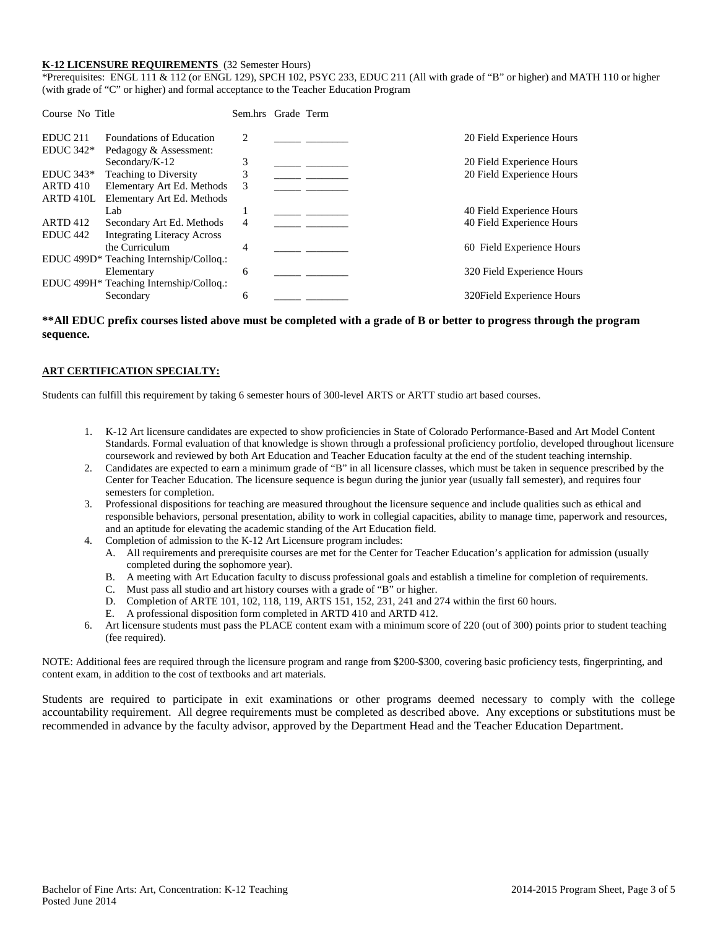#### **K-12 LICENSURE REQUIREMENTS** (32 Semester Hours)

\*Prerequisites: ENGL 111 & 112 (or ENGL 129), SPCH 102, PSYC 233, EDUC 211 (All with grade of "B" or higher) and MATH 110 or higher (with grade of "C" or higher) and formal acceptance to the Teacher Education Program

| Course No Title     |                                         | Sem.hrs Grade Term |  |                            |
|---------------------|-----------------------------------------|--------------------|--|----------------------------|
| EDUC <sub>211</sub> | <b>Foundations of Education</b>         | 2                  |  | 20 Field Experience Hours  |
| $EDUC 342*$         | Pedagogy & Assessment:                  |                    |  |                            |
|                     | Secondary/K-12                          | 3                  |  | 20 Field Experience Hours  |
| $EDUC 343*$         | <b>Teaching to Diversity</b>            | 3                  |  | 20 Field Experience Hours  |
| <b>ARTD 410</b>     | Elementary Art Ed. Methods              | 3                  |  |                            |
| ARTD 410L           | Elementary Art Ed. Methods              |                    |  |                            |
|                     | Lab                                     |                    |  | 40 Field Experience Hours  |
| <b>ARTD 412</b>     | Secondary Art Ed. Methods               | 4                  |  | 40 Field Experience Hours  |
| EDUC <sub>442</sub> | <b>Integrating Literacy Across</b>      |                    |  |                            |
|                     | the Curriculum                          | 4                  |  | 60 Field Experience Hours  |
|                     | EDUC 499D* Teaching Internship/Colloq.: |                    |  |                            |
|                     | Elementary                              | 6                  |  | 320 Field Experience Hours |
|                     | EDUC 499H* Teaching Internship/Colloq.: |                    |  |                            |
|                     | Secondary                               | 6                  |  | 320 Field Experience Hours |

#### **\*\*All EDUC prefix courses listed above must be completed with a grade of B or better to progress through the program sequence.**

#### **ART CERTIFICATION SPECIALTY:**

Students can fulfill this requirement by taking 6 semester hours of 300-level ARTS or ARTT studio art based courses.

- 1. K-12 Art licensure candidates are expected to show proficiencies in State of Colorado Performance-Based and Art Model Content Standards. Formal evaluation of that knowledge is shown through a professional proficiency portfolio, developed throughout licensure coursework and reviewed by both Art Education and Teacher Education faculty at the end of the student teaching internship.
- 2. Candidates are expected to earn a minimum grade of "B" in all licensure classes, which must be taken in sequence prescribed by the Center for Teacher Education. The licensure sequence is begun during the junior year (usually fall semester), and requires four semesters for completion.
- 3. Professional dispositions for teaching are measured throughout the licensure sequence and include qualities such as ethical and responsible behaviors, personal presentation, ability to work in collegial capacities, ability to manage time, paperwork and resources, and an aptitude for elevating the academic standing of the Art Education field.
- 4. Completion of admission to the K-12 Art Licensure program includes:
	- A. All requirements and prerequisite courses are met for the Center for Teacher Education's application for admission (usually completed during the sophomore year).
	- B. A meeting with Art Education faculty to discuss professional goals and establish a timeline for completion of requirements.
	- C. Must pass all studio and art history courses with a grade of "B" or higher.
	- D. Completion of ARTE 101, 102, 118, 119, ARTS 151, 152, 231, 241 and 274 within the first 60 hours.
	- E. A professional disposition form completed in ARTD 410 and ARTD 412.
- 6. Art licensure students must pass the PLACE content exam with a minimum score of 220 (out of 300) points prior to student teaching (fee required).

NOTE: Additional fees are required through the licensure program and range from \$200-\$300, covering basic proficiency tests, fingerprinting, and content exam, in addition to the cost of textbooks and art materials.

Students are required to participate in exit examinations or other programs deemed necessary to comply with the college accountability requirement. All degree requirements must be completed as described above. Any exceptions or substitutions must be recommended in advance by the faculty advisor, approved by the Department Head and the Teacher Education Department.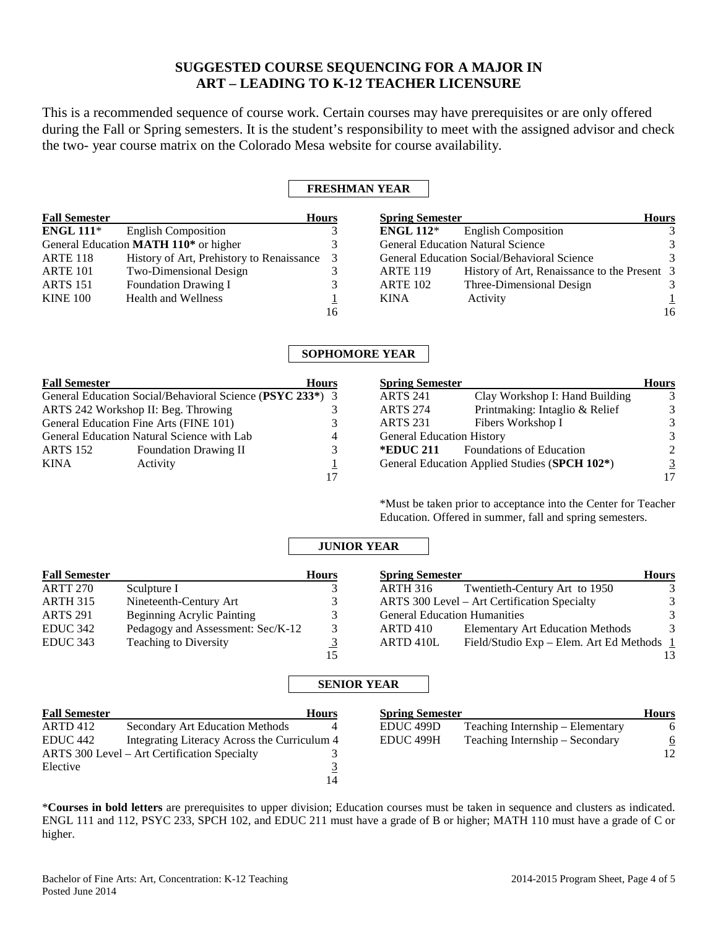# **SUGGESTED COURSE SEQUENCING FOR A MAJOR IN ART – LEADING TO K-12 TEACHER LICENSURE**

This is a recommended sequence of course work. Certain courses may have prerequisites or are only offered during the Fall or Spring semesters. It is the student's responsibility to meet with the assigned advisor and check the two- year course matrix on the Colorado Mesa website for course availability.

# **FRESHMAN YEAR**

| <b>Fall Semester</b> |                                                   | <b>Hours</b> | <b>Spring Semester</b> |                                              | <b>Hours</b>  |
|----------------------|---------------------------------------------------|--------------|------------------------|----------------------------------------------|---------------|
| ENGL $111*$          | <b>English Composition</b>                        |              | <b>ENGL 112*</b>       | <b>English Composition</b>                   |               |
|                      | General Education MATH 110 <sup>*</sup> or higher |              |                        | <b>General Education Natural Science</b>     |               |
| <b>ARTE 118</b>      | History of Art, Prehistory to Renaissance 3       |              |                        | General Education Social/Behavioral Science  | $\mathcal{R}$ |
| ARTE 101             | Two-Dimensional Design                            |              | <b>ARTE 119</b>        | History of Art, Renaissance to the Present 3 |               |
| <b>ARTS</b> 151      | <b>Foundation Drawing I</b>                       |              | <b>ARTE 102</b>        | Three-Dimensional Design                     |               |
| <b>KINE 100</b>      | Health and Wellness                               |              | <b>KINA</b>            | Activity                                     |               |
|                      |                                                   | 16           |                        |                                              | 16            |

# **SOPHOMORE YEAR**

| <b>Fall Semester</b> | <b>Hours</b>                                              |   |
|----------------------|-----------------------------------------------------------|---|
|                      | General Education Social/Behavioral Science (PSYC 233*) 3 |   |
|                      | ARTS 242 Workshop II: Beg. Throwing                       |   |
|                      | General Education Fine Arts (FINE 101)                    | 3 |
|                      | General Education Natural Science with Lab                | 4 |
| <b>ARTS 152</b>      | <b>Foundation Drawing II</b>                              | 3 |
| <b>KINA</b>          | Activity                                                  |   |
|                      |                                                           |   |

| <b>Spring Semester</b>           |                                               | <b>Hours</b> |
|----------------------------------|-----------------------------------------------|--------------|
| <b>ARTS 241</b>                  | Clay Workshop I: Hand Building                |              |
| <b>ARTS 274</b>                  | Printmaking: Intaglio & Relief                |              |
| <b>ARTS 231</b>                  | Fibers Workshop I                             |              |
| <b>General Education History</b> |                                               |              |
| *EDUC 211                        | <b>Foundations of Education</b>               |              |
|                                  | General Education Applied Studies (SPCH 102*) |              |
|                                  |                                               |              |

\*Must be taken prior to acceptance into the Center for Teacher Education. Offered in summer, fall and spring semesters.

# **JUNIOR YEAR**

| <b>Fall Semester</b> |                                   | <b>Hours</b> | <b>Spring Semester</b>                                 | <b>Hours</b>  |
|----------------------|-----------------------------------|--------------|--------------------------------------------------------|---------------|
| ARTT 270             | Sculpture I                       |              | Twentieth-Century Art to 1950<br>ARTH 316              |               |
| ARTH 315             | Nineteenth-Century Art            |              | ARTS 300 Level – Art Certification Specialty           | 3             |
| <b>ARTS 291</b>      | Beginning Acrylic Painting        |              | <b>General Education Humanities</b>                    | $\mathcal{E}$ |
| EDUC 342             | Pedagogy and Assessment: Sec/K-12 |              | <b>Elementary Art Education Methods</b><br>ARTD 410    | 3             |
| EDUC 343             | <b>Teaching to Diversity</b>      |              | Field/Studio Exp - Elem. Art Ed Methods 1<br>ARTD 410L |               |
|                      |                                   | 15           |                                                        | 13            |

### **SENIOR YEAR**

| <b>Fall Semester</b>                         |                                              | <b>Hours</b> | <b>Spring Semester</b> |                                  | <b>Hours</b> |
|----------------------------------------------|----------------------------------------------|--------------|------------------------|----------------------------------|--------------|
| ARTD 412                                     | <b>Secondary Art Education Methods</b>       |              | EDUC <sub>499</sub> D  | Teaching Internship – Elementary |              |
| EDUC 442                                     | Integrating Literacy Across the Curriculum 4 |              | EDUC 499H              | Teaching Internship – Secondary  |              |
| ARTS 300 Level – Art Certification Specialty |                                              |              |                        |                                  | 12           |
| Elective                                     |                                              |              |                        |                                  |              |
|                                              |                                              | 14           |                        |                                  |              |

\***Courses in bold letters** are prerequisites to upper division; Education courses must be taken in sequence and clusters as indicated. ENGL 111 and 112, PSYC 233, SPCH 102, and EDUC 211 must have a grade of B or higher; MATH 110 must have a grade of C or higher.